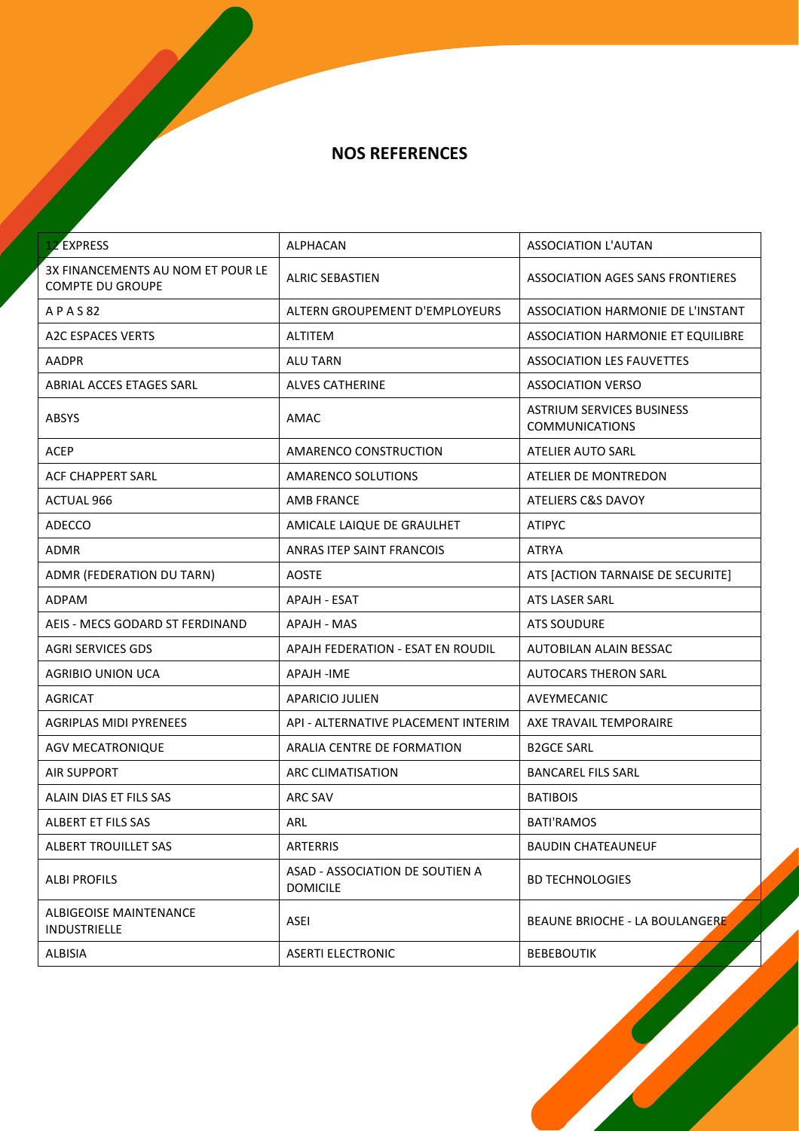| <b>12 EXPRESS</b>                                            | ALPHACAN                                           | <b>ASSOCIATION L'AUTAN</b>                                |
|--------------------------------------------------------------|----------------------------------------------------|-----------------------------------------------------------|
| 3X FINANCEMENTS AU NOM ET POUR LE<br><b>COMPTE DU GROUPE</b> | <b>ALRIC SEBASTIEN</b>                             | ASSOCIATION AGES SANS FRONTIERES                          |
| A P A S 82                                                   | <b>ALTERN GROUPEMENT D'EMPLOYEURS</b>              | ASSOCIATION HARMONIE DE L'INSTANT                         |
| <b>A2C ESPACES VERTS</b>                                     | <b>ALTITEM</b>                                     | ASSOCIATION HARMONIE ET EQUILIBRE                         |
| <b>AADPR</b>                                                 | <b>ALU TARN</b>                                    | <b>ASSOCIATION LES FAUVETTES</b>                          |
| ABRIAL ACCES ETAGES SARL                                     | <b>ALVES CATHERINE</b>                             | <b>ASSOCIATION VERSO</b>                                  |
| <b>ABSYS</b>                                                 | AMAC                                               | <b>ASTRIUM SERVICES BUSINESS</b><br><b>COMMUNICATIONS</b> |
| <b>ACEP</b>                                                  | AMARENCO CONSTRUCTION                              | <b>ATELIER AUTO SARL</b>                                  |
| ACF CHAPPERT SARL                                            | AMARENCO SOLUTIONS                                 | ATELIER DE MONTREDON                                      |
| <b>ACTUAL 966</b>                                            | <b>AMB FRANCE</b>                                  | <b>ATELIERS C&amp;S DAVOY</b>                             |
| ADECCO                                                       | AMICALE LAIQUE DE GRAULHET                         | <b>ATIPYC</b>                                             |
| ADMR                                                         | ANRAS ITEP SAINT FRANCOIS                          | <b>ATRYA</b>                                              |
| ADMR (FEDERATION DU TARN)                                    | <b>AOSTE</b>                                       | ATS [ACTION TARNAISE DE SECURITE]                         |
| <b>ADPAM</b>                                                 | <b>APAJH - ESAT</b>                                | <b>ATS LASER SARL</b>                                     |
| AEIS - MECS GODARD ST FERDINAND                              | APAJH - MAS                                        | <b>ATS SOUDURE</b>                                        |
| AGRI SERVICES GDS                                            | APAJH FEDERATION - ESAT EN ROUDIL                  | AUTOBILAN ALAIN BESSAC                                    |
| AGRIBIO UNION UCA                                            | APAJH -IME                                         | <b>AUTOCARS THERON SARL</b>                               |
| <b>AGRICAT</b>                                               | APARICIO JULIEN                                    | AVEYMECANIC                                               |
| <b>AGRIPLAS MIDI PYRENEES</b>                                | API - ALTERNATIVE PLACEMENT INTERIM                | AXE TRAVAIL TEMPORAIRE                                    |
| <b>AGV MECATRONIQUE</b>                                      | ARALIA CENTRE DE FORMATION                         | <b>B2GCE SARL</b>                                         |
| <b>AIR SUPPORT</b>                                           | ARC CLIMATISATION                                  | <b>BANCAREL FILS SARL</b>                                 |
| ALAIN DIAS ET FILS SAS                                       | ARC SAV                                            | <b>BATIBOIS</b>                                           |
| ALBERT ET FILS SAS                                           | ARL                                                | <b>BATI'RAMOS</b>                                         |
| ALBERT TROUILLET SAS                                         | <b>ARTERRIS</b>                                    | <b>BAUDIN CHATEAUNEUF</b>                                 |
| <b>ALBI PROFILS</b>                                          | ASAD - ASSOCIATION DE SOUTIEN A<br><b>DOMICILE</b> | <b>BD TECHNOLOGIES</b>                                    |
| ALBIGEOISE MAINTENANCE<br><b>INDUSTRIELLE</b>                | <b>ASEI</b>                                        | BEAUNE BRIOCHE - LA BOULANGERE                            |
| <b>ALBISIA</b>                                               | <b>ASERTI ELECTRONIC</b>                           | <b>BEBEBOUTIK</b>                                         |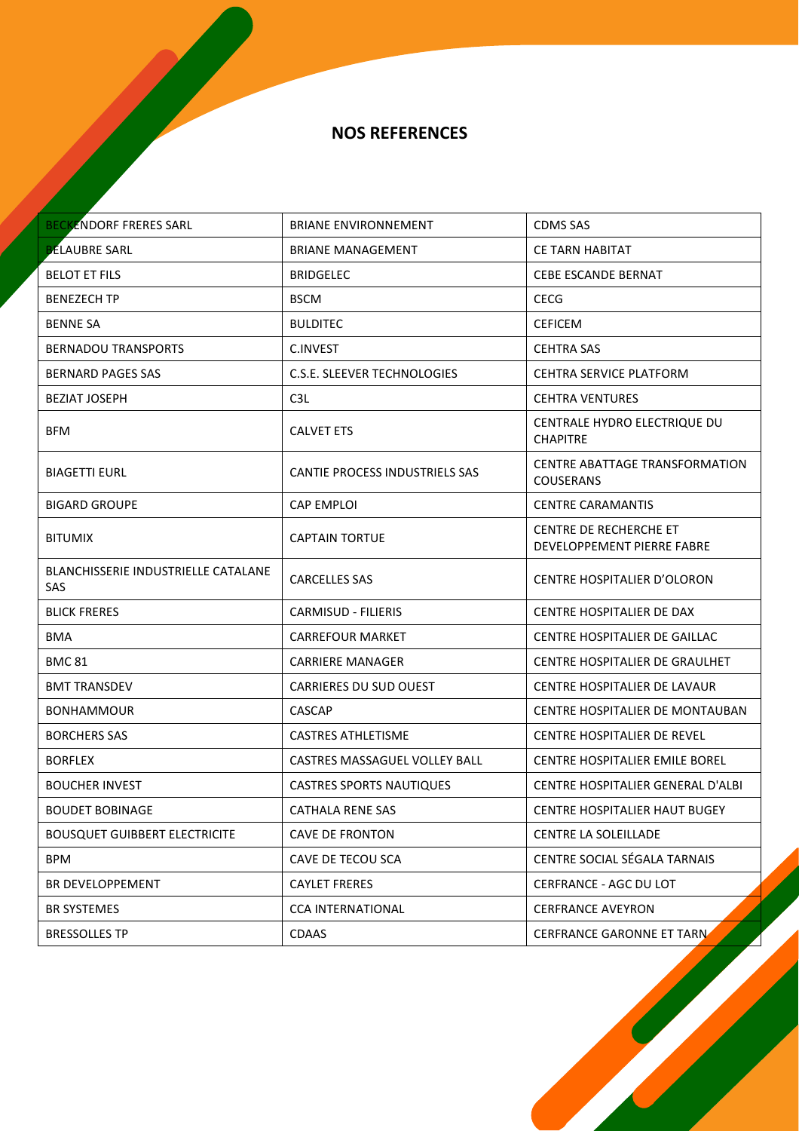| <b>BECKENDORF FRERES SARL</b>                     | <b>BRIANE ENVIRONNEMENT</b>           | <b>CDMS SAS</b>                                           |
|---------------------------------------------------|---------------------------------------|-----------------------------------------------------------|
| <b>BELAUBRE SARL</b>                              | <b>BRIANE MANAGEMENT</b>              | <b>CE TARN HABITAT</b>                                    |
| <b>BELOT ET FILS</b>                              | <b>BRIDGELEC</b>                      | CEBE ESCANDE BERNAT                                       |
| <b>BENEZECH TP</b>                                | <b>BSCM</b>                           | <b>CECG</b>                                               |
| <b>BENNE SA</b>                                   | <b>BULDITEC</b>                       | <b>CEFICEM</b>                                            |
| <b>BERNADOU TRANSPORTS</b>                        | <b>C.INVEST</b>                       | <b>CEHTRA SAS</b>                                         |
| <b>BERNARD PAGES SAS</b>                          | C.S.E. SLEEVER TECHNOLOGIES           | <b>CEHTRA SERVICE PLATFORM</b>                            |
| <b>BEZIAT JOSEPH</b>                              | C <sub>3</sub> L                      | <b>CEHTRA VENTURES</b>                                    |
| <b>BFM</b>                                        | <b>CALVET ETS</b>                     | CENTRALE HYDRO ELECTRIQUE DU<br><b>CHAPITRE</b>           |
| <b>BIAGETTI EURL</b>                              | <b>CANTIE PROCESS INDUSTRIELS SAS</b> | <b>CENTRE ABATTAGE TRANSFORMATION</b><br><b>COUSERANS</b> |
| <b>BIGARD GROUPE</b>                              | <b>CAP EMPLOI</b>                     | <b>CENTRE CARAMANTIS</b>                                  |
| <b>BITUMIX</b>                                    | <b>CAPTAIN TORTUE</b>                 | CENTRE DE RECHERCHE ET<br>DEVELOPPEMENT PIERRE FABRE      |
| <b>BLANCHISSERIE INDUSTRIELLE CATALANE</b><br>SAS | <b>CARCELLES SAS</b>                  | CENTRE HOSPITALIER D'OLORON                               |
| <b>BLICK FRERES</b>                               | <b>CARMISUD - FILIERIS</b>            | CENTRE HOSPITALIER DE DAX                                 |
| <b>BMA</b>                                        | <b>CARREFOUR MARKET</b>               | CENTRE HOSPITALIER DE GAILLAC                             |
| <b>BMC 81</b>                                     | <b>CARRIERE MANAGER</b>               | CENTRE HOSPITALIER DE GRAULHET                            |
| <b>BMT TRANSDEV</b>                               | <b>CARRIERES DU SUD OUEST</b>         | CENTRE HOSPITALIER DE LAVAUR                              |
| <b>BONHAMMOUR</b>                                 | <b>CASCAP</b>                         | CENTRE HOSPITALIER DE MONTAUBAN                           |
| <b>BORCHERS SAS</b>                               | <b>CASTRES ATHLETISME</b>             | CENTRE HOSPITALIER DE REVEL                               |
| <b>BORFLEX</b>                                    | CASTRES MASSAGUEL VOLLEY BALL         | <b>CENTRE HOSPITALIER EMILE BOREL</b>                     |
| <b>BOUCHER INVEST</b>                             | <b>CASTRES SPORTS NAUTIQUES</b>       | CENTRE HOSPITALIER GENERAL D'ALBI                         |
| <b>BOUDET BOBINAGE</b>                            | CATHALA RENE SAS                      | <b>CENTRE HOSPITALIER HAUT BUGEY</b>                      |
| <b>BOUSQUET GUIBBERT ELECTRICITE</b>              | <b>CAVE DE FRONTON</b>                | <b>CENTRE LA SOLEILLADE</b>                               |
| BPM                                               | CAVE DE TECOU SCA                     | CENTRE SOCIAL SÉGALA TARNAIS                              |
| BR DEVELOPPEMENT                                  | <b>CAYLET FRERES</b>                  | CERFRANCE - AGC DU LOT                                    |
| BR SYSTEMES                                       | <b>CCA INTERNATIONAL</b>              | <b>CERFRANCE AVEYRON</b>                                  |
| <b>BRESSOLLES TP</b>                              | <b>CDAAS</b>                          | <b>CERFRANCE GARONNE ET TARN</b>                          |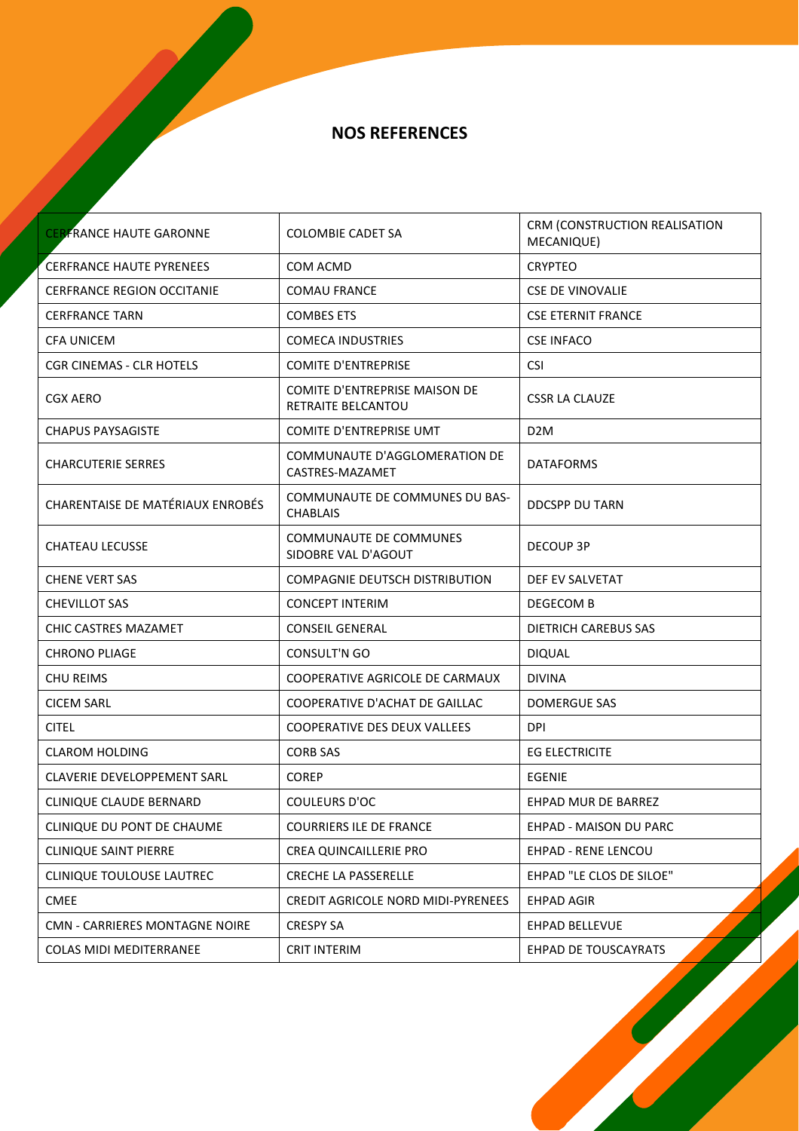| <b>CERFRANCE HAUTE GARONNE</b>    | <b>COLOMBIE CADET SA</b>                            | CRM (CONSTRUCTION REALISATION<br>MECANIQUE) |
|-----------------------------------|-----------------------------------------------------|---------------------------------------------|
| <b>CERFRANCE HAUTE PYRENEES</b>   | COM ACMD                                            | <b>CRYPTEO</b>                              |
| <b>CERFRANCE REGION OCCITANIE</b> | <b>COMAU FRANCE</b>                                 | <b>CSE DE VINOVALIE</b>                     |
| <b>CERFRANCE TARN</b>             | <b>COMBES ETS</b>                                   | <b>CSE ETERNIT FRANCE</b>                   |
| <b>CFA UNICEM</b>                 | <b>COMECA INDUSTRIES</b>                            | <b>CSE INFACO</b>                           |
| <b>CGR CINEMAS - CLR HOTELS</b>   | <b>COMITE D'ENTREPRISE</b>                          | <b>CSI</b>                                  |
| CGX AERO                          | COMITE D'ENTREPRISE MAISON DE<br>RETRAITE BELCANTOU | <b>CSSR LA CLAUZE</b>                       |
| <b>CHAPUS PAYSAGISTE</b>          | COMITE D'ENTREPRISE UMT                             | D <sub>2</sub> M                            |
| <b>CHARCUTERIE SERRES</b>         | COMMUNAUTE D'AGGLOMERATION DE<br>CASTRES-MAZAMET    | <b>DATAFORMS</b>                            |
| CHARENTAISE DE MATÉRIAUX ENROBÉS  | COMMUNAUTE DE COMMUNES DU BAS-<br><b>CHABLAIS</b>   | DDCSPP DU TARN                              |
| <b>CHATEAU LECUSSE</b>            | COMMUNAUTE DE COMMUNES<br>SIDOBRE VAL D'AGOUT       | <b>DECOUP 3P</b>                            |
| <b>CHENE VERT SAS</b>             | COMPAGNIE DEUTSCH DISTRIBUTION                      | DEF EV SALVETAT                             |
| <b>CHEVILLOT SAS</b>              | <b>CONCEPT INTERIM</b>                              | DEGECOM B                                   |
| CHIC CASTRES MAZAMET              | <b>CONSEIL GENERAL</b>                              | <b>DIETRICH CAREBUS SAS</b>                 |
| <b>CHRONO PLIAGE</b>              | <b>CONSULT'N GO</b>                                 | <b>DIQUAL</b>                               |
| <b>CHU REIMS</b>                  | COOPERATIVE AGRICOLE DE CARMAUX                     | <b>DIVINA</b>                               |
| <b>CICEM SARL</b>                 | COOPERATIVE D'ACHAT DE GAILLAC                      | <b>DOMERGUE SAS</b>                         |
| <b>CITEL</b>                      | <b>COOPERATIVE DES DEUX VALLEES</b>                 | <b>DPI</b>                                  |
| <b>CLAROM HOLDING</b>             | <b>CORB SAS</b>                                     | <b>EG ELECTRICITE</b>                       |
| CLAVERIE DEVELOPPEMENT SARL       | <b>COREP</b>                                        | EGENIE                                      |
| <b>CLINIQUE CLAUDE BERNARD</b>    | COULEURS D'OC                                       | EHPAD MUR DE BARREZ                         |
| CLINIQUE DU PONT DE CHAUME        | <b>COURRIERS ILE DE FRANCE</b>                      | EHPAD - MAISON DU PARC                      |
| <b>CLINIQUE SAINT PIERRE</b>      | <b>CREA QUINCAILLERIE PRO</b>                       | <b>EHPAD - RENE LENCOU</b>                  |
| CLINIQUE TOULOUSE LAUTREC         | <b>CRECHE LA PASSERELLE</b>                         | EHPAD "LE CLOS DE SILOE"                    |
| <b>CMEE</b>                       | CREDIT AGRICOLE NORD MIDI-PYRENEES                  | <b>EHPAD AGIR</b>                           |
| CMN - CARRIERES MONTAGNE NOIRE    | <b>CRESPY SA</b>                                    | EHPAD BELLEVUE                              |
| <b>COLAS MIDI MEDITERRANEE</b>    | <b>CRIT INTERIM</b>                                 | <b>EHPAD DE TOUSCAYRATS</b>                 |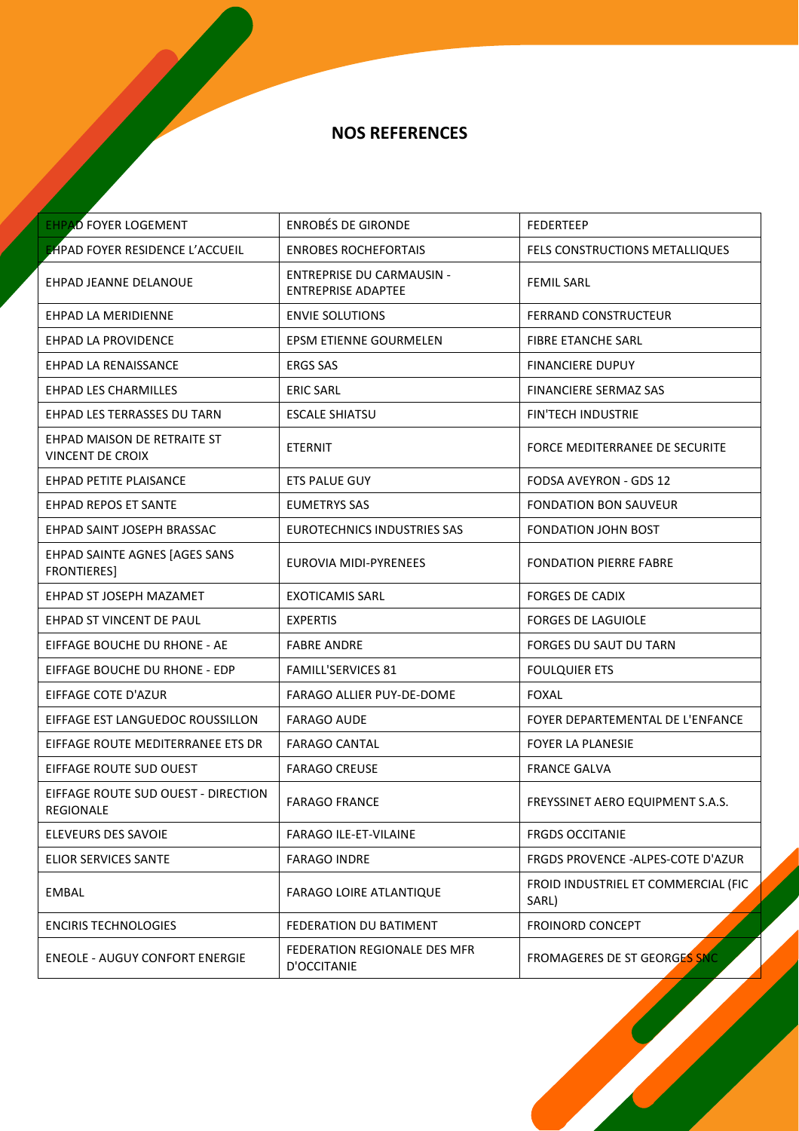| <b>EHPAD FOYER LOGEMENT</b>                             | <b>ENROBÉS DE GIRONDE</b>                                     | <b>FEDERTEEP</b>                             |
|---------------------------------------------------------|---------------------------------------------------------------|----------------------------------------------|
| <b>EHPAD FOYER RESIDENCE L'ACCUEIL</b>                  | <b>ENROBES ROCHEFORTAIS</b>                                   | <b>FELS CONSTRUCTIONS METALLIQUES</b>        |
| <b>EHPAD JEANNE DELANOUE</b>                            | <b>ENTREPRISE DU CARMAUSIN -</b><br><b>ENTREPRISE ADAPTEE</b> | <b>FEMIL SARL</b>                            |
| EHPAD LA MERIDIENNE                                     | <b>ENVIE SOLUTIONS</b>                                        | <b>FERRAND CONSTRUCTEUR</b>                  |
| EHPAD LA PROVIDENCE                                     | <b>EPSM ETIENNE GOURMELEN</b>                                 | <b>FIBRE ETANCHE SARL</b>                    |
| EHPAD LA RENAISSANCE                                    | <b>ERGS SAS</b>                                               | <b>FINANCIERE DUPUY</b>                      |
| <b>EHPAD LES CHARMILLES</b>                             | <b>ERIC SARL</b>                                              | <b>FINANCIERE SERMAZ SAS</b>                 |
| EHPAD LES TERRASSES DU TARN                             | <b>ESCALE SHIATSU</b>                                         | <b>FIN'TECH INDUSTRIE</b>                    |
| EHPAD MAISON DE RETRAITE ST<br><b>VINCENT DE CROIX</b>  | <b>ETERNIT</b>                                                | FORCE MEDITERRANEE DE SECURITE               |
| EHPAD PETITE PLAISANCE                                  | ETS PALUE GUY                                                 | FODSA AVEYRON - GDS 12                       |
| <b>EHPAD REPOS ET SANTE</b>                             | EUMETRYS SAS                                                  | FONDATION BON SAUVEUR                        |
| EHPAD SAINT JOSEPH BRASSAC                              | <b>EUROTECHNICS INDUSTRIES SAS</b>                            | <b>FONDATION JOHN BOST</b>                   |
| EHPAD SAINTE AGNES [AGES SANS<br><b>FRONTIERES]</b>     | EUROVIA MIDI-PYRENEES                                         | <b>FONDATION PIERRE FABRE</b>                |
| EHPAD ST JOSEPH MAZAMET                                 | <b>EXOTICAMIS SARL</b>                                        | <b>FORGES DE CADIX</b>                       |
| EHPAD ST VINCENT DE PAUL                                | <b>EXPERTIS</b>                                               | <b>FORGES DE LAGUIOLE</b>                    |
| EIFFAGE BOUCHE DU RHONE - AE                            | <b>FABRE ANDRE</b>                                            | FORGES DU SAUT DU TARN                       |
| EIFFAGE BOUCHE DU RHONE - EDP                           | <b>FAMILL'SERVICES 81</b>                                     | <b>FOULQUIER ETS</b>                         |
| EIFFAGE COTE D'AZUR                                     | FARAGO ALLIER PUY-DE-DOME                                     | <b>FOXAL</b>                                 |
| EIFFAGE EST LANGUEDOC ROUSSILLON                        | <b>FARAGO AUDE</b>                                            | FOYER DEPARTEMENTAL DE L'ENFANCE             |
| EIFFAGE ROUTE MEDITERRANEE ETS DR                       | <b>FARAGO CANTAL</b>                                          | <b>FOYER LA PLANESIE</b>                     |
| EIFFAGE ROUTE SUD OUEST                                 | <b>FARAGO CREUSE</b>                                          | <b>FRANCE GALVA</b>                          |
| EIFFAGE ROUTE SUD OUEST - DIRECTION<br><b>REGIONALE</b> | <b>FARAGO FRANCE</b>                                          | FREYSSINET AERO EQUIPMENT S.A.S.             |
| ELEVEURS DES SAVOIE                                     | FARAGO ILE-ET-VILAINE                                         | <b>FRGDS OCCITANIE</b>                       |
| <b>ELIOR SERVICES SANTE</b>                             | <b>FARAGO INDRE</b>                                           | <b>FRGDS PROVENCE -ALPES-COTE D'AZUR</b>     |
| <b>EMBAL</b>                                            | <b>FARAGO LOIRE ATLANTIQUE</b>                                | FROID INDUSTRIEL ET COMMERCIAL (FIC<br>SARL) |
| <b>ENCIRIS TECHNOLOGIES</b>                             | FEDERATION DU BATIMENT                                        | <b>FROINORD CONCEPT</b>                      |
| <b>ENEOLE - AUGUY CONFORT ENERGIE</b>                   | FEDERATION REGIONALE DES MFR<br>D'OCCITANIE                   | FROMAGERES DE ST GEORGES SNC                 |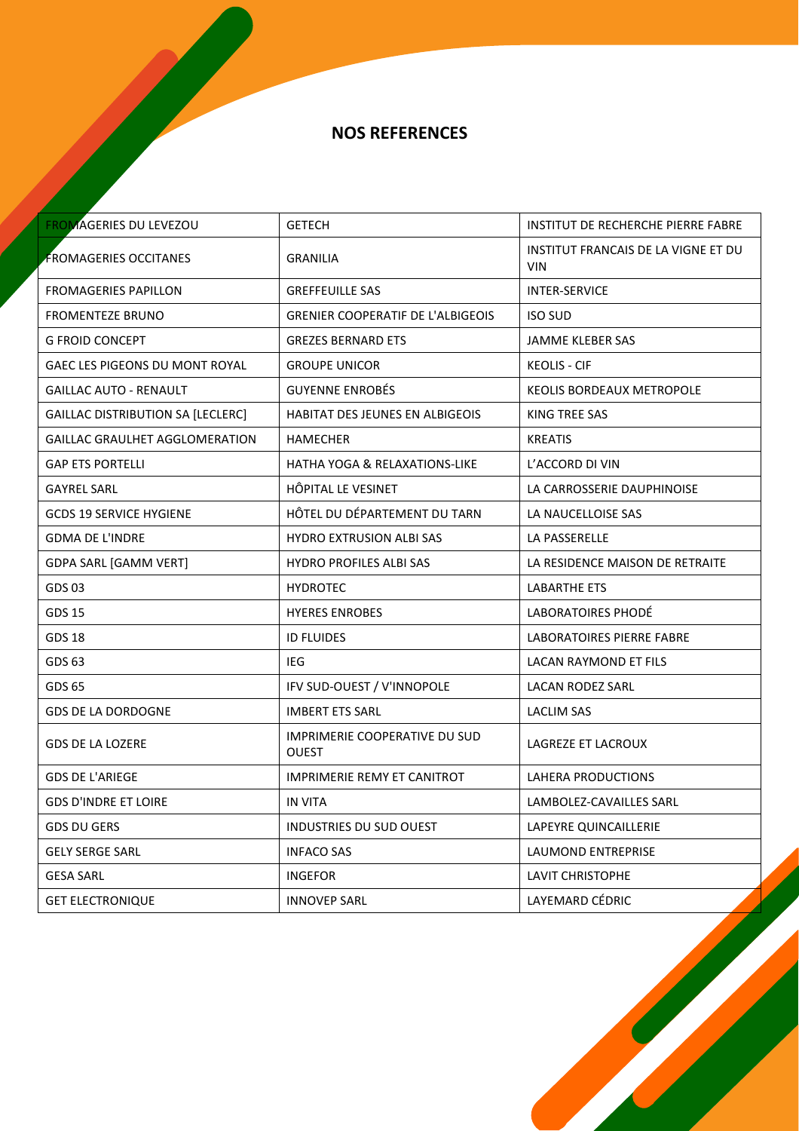| <b>FROMAGERIES DU LEVEZOU</b>         | <b>GETECH</b>                                 | INSTITUT DE RECHERCHE PIERRE FABRE                       |
|---------------------------------------|-----------------------------------------------|----------------------------------------------------------|
| <b>FROMAGERIES OCCITANES</b>          | <b>GRANILIA</b>                               | <b>INSTITUT FRANCAIS DE LA VIGNE ET DU</b><br><b>VIN</b> |
| <b>FROMAGERIES PAPILLON</b>           | <b>GREFFEUILLE SAS</b>                        | <b>INTER-SERVICE</b>                                     |
| <b>FROMENTEZE BRUNO</b>               | <b>GRENIER COOPERATIF DE L'ALBIGEOIS</b>      | <b>ISO SUD</b>                                           |
| <b>G FROID CONCEPT</b>                | <b>GREZES BERNARD ETS</b>                     | JAMME KLEBER SAS                                         |
| <b>GAEC LES PIGEONS DU MONT ROYAL</b> | <b>GROUPE UNICOR</b>                          | <b>KEOLIS - CIF</b>                                      |
| <b>GAILLAC AUTO - RENAULT</b>         | <b>GUYENNE ENROBÉS</b>                        | <b>KEOLIS BORDEAUX METROPOLE</b>                         |
| GAILLAC DISTRIBUTION SA [LECLERC]     | HABITAT DES JEUNES EN ALBIGEOIS               | <b>KING TREE SAS</b>                                     |
| <b>GAILLAC GRAULHET AGGLOMERATION</b> | HAMECHER                                      | <b>KREATIS</b>                                           |
| <b>GAP ETS PORTELLI</b>               | <b>HATHA YOGA &amp; RELAXATIONS-LIKE</b>      | L'ACCORD DI VIN                                          |
| <b>GAYREL SARL</b>                    | HÔPITAL LE VESINET                            | LA CARROSSERIE DAUPHINOISE                               |
| <b>GCDS 19 SERVICE HYGIENE</b>        | HÔTEL DU DÉPARTEMENT DU TARN                  | LA NAUCELLOISE SAS                                       |
| <b>GDMA DE L'INDRE</b>                | <b>HYDRO EXTRUSION ALBI SAS</b>               | LA PASSERELLE                                            |
| GDPA SARL [GAMM VERT]                 | <b>HYDRO PROFILES ALBI SAS</b>                | LA RESIDENCE MAISON DE RETRAITE                          |
| GDS 03                                | <b>HYDROTEC</b>                               | LABARTHE ETS                                             |
| <b>GDS 15</b>                         | <b>HYERES ENROBES</b>                         | LABORATOIRES PHODÉ                                       |
| <b>GDS 18</b>                         | <b>ID FLUIDES</b>                             | LABORATOIRES PIERRE FABRE                                |
| GDS 63                                | IEG                                           | LACAN RAYMOND ET FILS                                    |
| GDS 65                                | IFV SUD-OUEST / V'INNOPOLE                    | <b>LACAN RODEZ SARL</b>                                  |
| <b>GDS DE LA DORDOGNE</b>             | <b>IMBERT ETS SARL</b>                        | <b>LACLIM SAS</b>                                        |
| <b>GDS DE LA LOZERE</b>               | <b>IMPRIMERIE COOPERATIVE DU SUD</b><br>OUEST | LAGREZE ET LACROUX                                       |
| <b>GDS DE L'ARIEGE</b>                | <b>IMPRIMERIE REMY ET CANITROT</b>            | LAHERA PRODUCTIONS                                       |
| <b>GDS D'INDRE ET LOIRE</b>           | IN VITA                                       | LAMBOLEZ-CAVAILLES SARL                                  |
| <b>GDS DU GERS</b>                    | <b>INDUSTRIES DU SUD OUEST</b>                | LAPEYRE QUINCAILLERIE                                    |
| <b>GELY SERGE SARL</b>                | <b>INFACO SAS</b>                             | <b>LAUMOND ENTREPRISE</b>                                |
| <b>GESA SARL</b>                      | <b>INGEFOR</b>                                | <b>LAVIT CHRISTOPHE</b>                                  |
| <b>GET ELECTRONIQUE</b>               | <b>INNOVEP SARL</b>                           | LAYEMARD CÉDRIC                                          |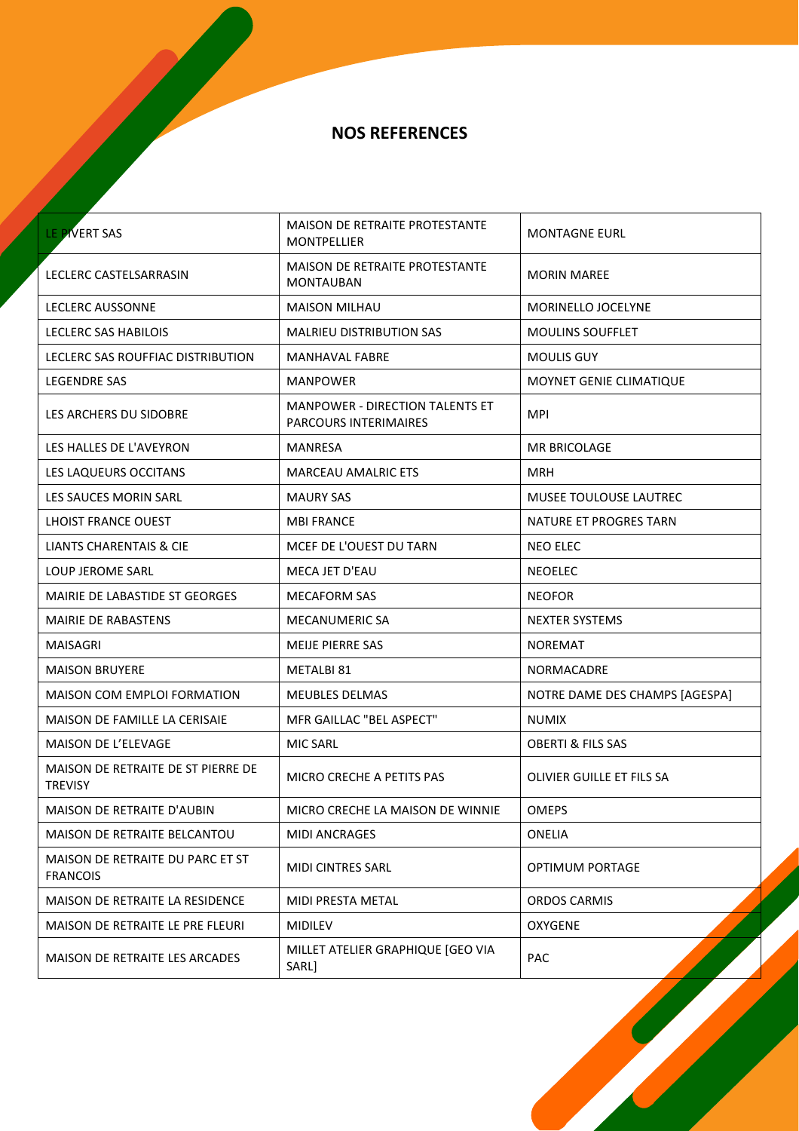| LE PIVERT SAS                                        | MAISON DE RETRAITE PROTESTANTE<br><b>MONTPELLIER</b>            | <b>MONTAGNE EURL</b>           |
|------------------------------------------------------|-----------------------------------------------------------------|--------------------------------|
| LECLERC CASTELSARRASIN                               | <b>MAISON DE RETRAITE PROTESTANTE</b><br><b>MONTAUBAN</b>       | <b>MORIN MAREE</b>             |
| <b>LECLERC AUSSONNE</b>                              | <b>MAISON MILHAU</b>                                            | MORINELLO JOCELYNE             |
| LECLERC SAS HABILOIS                                 | <b>MALRIEU DISTRIBUTION SAS</b>                                 | <b>MOULINS SOUFFLET</b>        |
| LECLERC SAS ROUFFIAC DISTRIBUTION                    | <b>MANHAVAL FABRE</b>                                           | <b>MOULIS GUY</b>              |
| <b>LEGENDRE SAS</b>                                  | <b>MANPOWER</b>                                                 | MOYNET GENIE CLIMATIQUE        |
| LES ARCHERS DU SIDOBRE                               | <b>MANPOWER - DIRECTION TALENTS ET</b><br>PARCOURS INTERIMAIRES | <b>MPI</b>                     |
| LES HALLES DE L'AVEYRON                              | MANRESA                                                         | <b>MR BRICOLAGE</b>            |
| LES LAQUEURS OCCITANS                                | <b>MARCEAU AMALRIC ETS</b>                                      | MRH                            |
| LES SAUCES MORIN SARL                                | <b>MAURY SAS</b>                                                | <b>MUSEE TOULOUSE LAUTREC</b>  |
| LHOIST FRANCE OUEST                                  | <b>MBI FRANCE</b>                                               | NATURE ET PROGRES TARN         |
| LIANTS CHARENTAIS & CIE                              | MCEF DE L'OUEST DU TARN                                         | <b>NEO ELEC</b>                |
| LOUP JEROME SARL                                     | MECA JET D'EAU                                                  | <b>NEOELEC</b>                 |
| MAIRIE DE LABASTIDE ST GEORGES                       | <b>MECAFORM SAS</b>                                             | <b>NEOFOR</b>                  |
| MAIRIE DE RABASTENS                                  | <b>MECANUMERIC SA</b>                                           | <b>NEXTER SYSTEMS</b>          |
| MAISAGRI                                             | <b>MEIJE PIERRE SAS</b>                                         | <b>NOREMAT</b>                 |
| <b>MAISON BRUYERE</b>                                | METALBI 81                                                      | <b>NORMACADRE</b>              |
| MAISON COM EMPLOI FORMATION                          | MEUBLES DELMAS                                                  | NOTRE DAME DES CHAMPS [AGESPA] |
| MAISON DE FAMILLE LA CERISAIE                        | MFR GAILLAC "BEL ASPECT"                                        | <b>NUMIX</b>                   |
| <b>MAISON DE L'ELEVAGE</b>                           | MIC SARL                                                        | <b>OBERTI &amp; FILS SAS</b>   |
| MAISON DE RETRAITE DE ST PIERRE DE<br><b>TREVISY</b> | MICRO CRECHE A PETITS PAS                                       | OLIVIER GUILLE ET FILS SA      |
| MAISON DE RETRAITE D'AUBIN                           | MICRO CRECHE LA MAISON DE WINNIE                                | <b>OMEPS</b>                   |
| MAISON DE RETRAITE BELCANTOU                         | <b>MIDI ANCRAGES</b>                                            | ONELIA                         |
| MAISON DE RETRAITE DU PARC ET ST<br><b>FRANCOIS</b>  | <b>MIDI CINTRES SARL</b>                                        | <b>OPTIMUM PORTAGE</b>         |
| MAISON DE RETRAITE LA RESIDENCE                      | MIDI PRESTA METAL                                               | <b>ORDOS CARMIS</b>            |
| MAISON DE RETRAITE LE PRE FLEURI                     | <b>MIDILEV</b>                                                  | <b>OXYGENE</b>                 |
| MAISON DE RETRAITE LES ARCADES                       | MILLET ATELIER GRAPHIQUE [GEO VIA<br>SARL]                      | PAC                            |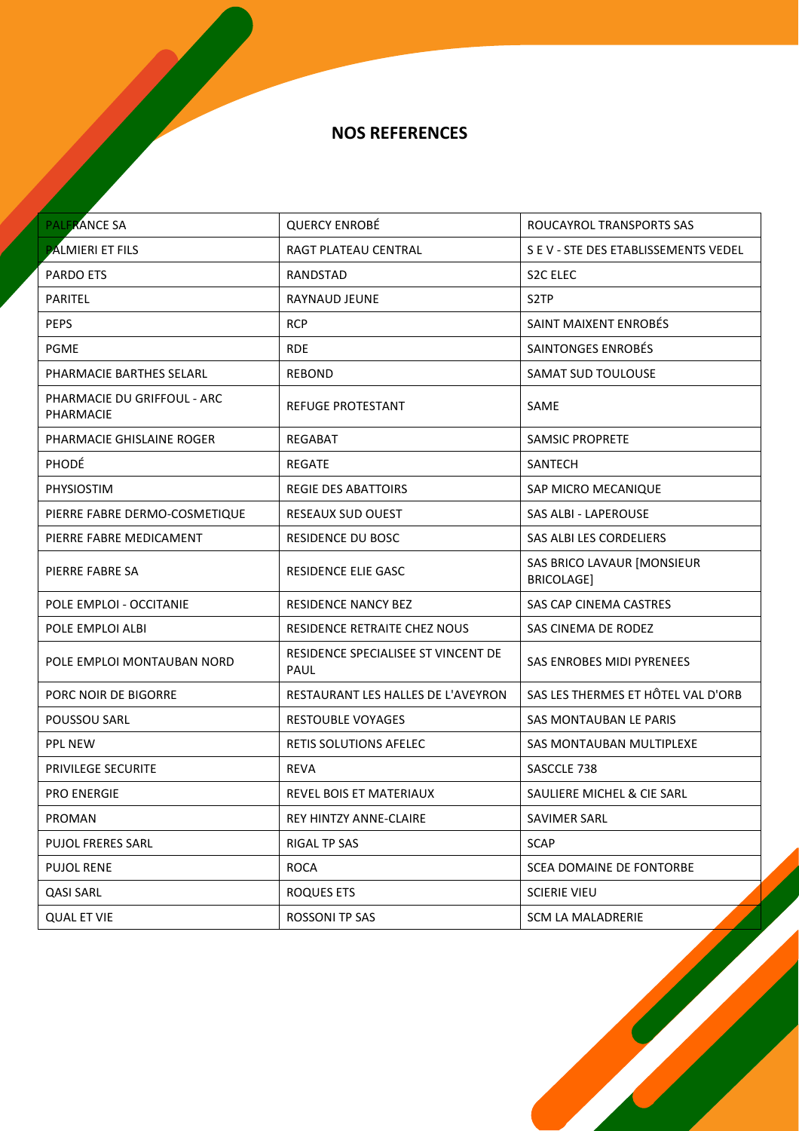| <b>PALFRANCE SA</b>                      | <b>QUERCY ENROBÉ</b>                        | ROUCAYROL TRANSPORTS SAS                 |
|------------------------------------------|---------------------------------------------|------------------------------------------|
| <b>PALMIERI ET FILS</b>                  | RAGT PLATEAU CENTRAL                        | S E V - STE DES ETABLISSEMENTS VEDEL     |
| <b>PARDO ETS</b>                         | RANDSTAD                                    | S <sub>2</sub> C ELEC                    |
| <b>PARITEL</b>                           | RAYNAUD JEUNE                               | S <sub>2</sub> TP                        |
| <b>PEPS</b>                              | <b>RCP</b>                                  | SAINT MAIXENT ENROBÉS                    |
| <b>PGME</b>                              | <b>RDE</b>                                  | SAINTONGES ENROBÉS                       |
| PHARMACIE BARTHES SELARL                 | REBOND                                      | SAMAT SUD TOULOUSE                       |
| PHARMACIE DU GRIFFOUL - ARC<br>PHARMACIE | REFUGE PROTESTANT                           | SAME                                     |
| PHARMACIE GHISLAINE ROGER                | <b>REGABAT</b>                              | <b>SAMSIC PROPRETE</b>                   |
| PHODÉ                                    | REGATE                                      | SANTECH                                  |
| PHYSIOSTIM                               | REGIE DES ABATTOIRS                         | <b>SAP MICRO MECANIQUE</b>               |
| PIERRE FABRE DERMO-COSMETIQUE            | RESEAUX SUD OUEST                           | SAS ALBI - LAPEROUSE                     |
| PIERRE FABRE MEDICAMENT                  | RESIDENCE DU BOSC                           | SAS ALBI LES CORDELIERS                  |
| PIERRE FABRE SA                          | RESIDENCE ELIE GASC                         | SAS BRICO LAVAUR [MONSIEUR<br>BRICOLAGE] |
| POLE EMPLOI - OCCITANIE                  | <b>RESIDENCE NANCY BEZ</b>                  | <b>SAS CAP CINEMA CASTRES</b>            |
| POLE EMPLOI ALBI                         | RESIDENCE RETRAITE CHEZ NOUS                | SAS CINEMA DE RODEZ                      |
| POLE EMPLOI MONTAUBAN NORD               | RESIDENCE SPECIALISEE ST VINCENT DE<br>PAUL | <b>SAS ENROBES MIDI PYRENEES</b>         |
| PORC NOIR DE BIGORRE                     | RESTAURANT LES HALLES DE L'AVEYRON          | SAS LES THERMES ET HÔTEL VAL D'ORB       |
| POUSSOU SARL                             | <b>RESTOUBLE VOYAGES</b>                    | SAS MONTAUBAN LE PARIS                   |
| <b>PPL NEW</b>                           | RETIS SOLUTIONS AFELEC                      | SAS MONTAUBAN MULTIPLEXE                 |
| PRIVILEGE SECURITE                       | REVA                                        | SASCCLE 738                              |
| <b>PRO ENERGIE</b>                       | REVEL BOIS ET MATERIAUX                     | SAULIERE MICHEL & CIE SARL               |
| PROMAN                                   | REY HINTZY ANNE-CLAIRE                      | SAVIMER SARL                             |
| <b>PUJOL FRERES SARL</b>                 | <b>RIGAL TP SAS</b>                         | <b>SCAP</b>                              |
| <b>PUJOL RENE</b>                        | <b>ROCA</b>                                 | SCEA DOMAINE DE FONTORBE                 |
| <b>QASI SARL</b>                         | ROQUES ETS                                  | <b>SCIERIE VIEU</b>                      |
| <b>QUAL ET VIE</b>                       | ROSSONI TP SAS                              | <b>SCM LA MALADRERIE</b>                 |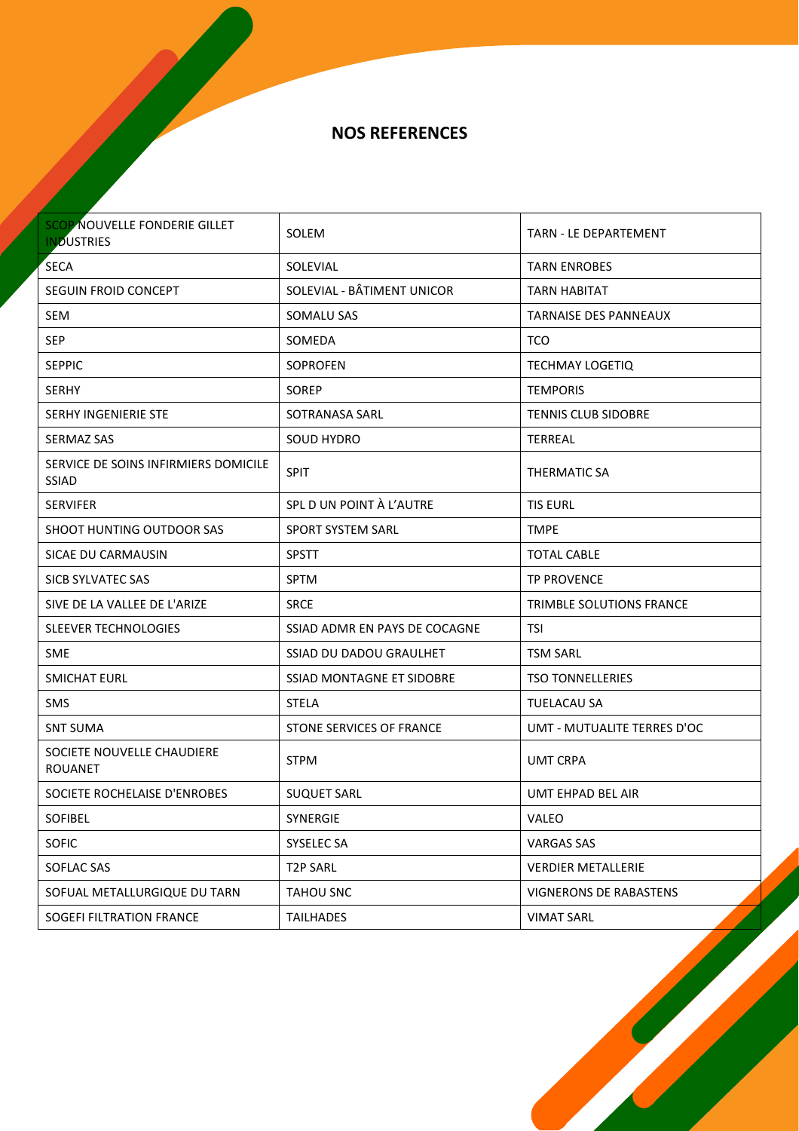NOS REFERENCES

| <b>SCOP NOUVELLE FONDERIE GILLET</b><br><b>INDUSTRIES</b> | SOLEM                         | <b>TARN - LE DEPARTEMENT</b>    |
|-----------------------------------------------------------|-------------------------------|---------------------------------|
| <b>SECA</b>                                               | SOLEVIAL                      | <b>TARN ENROBES</b>             |
| SEGUIN FROID CONCEPT                                      | SOLEVIAL - BÂTIMENT UNICOR    | <b>TARN HABITAT</b>             |
| <b>SEM</b>                                                | SOMALU SAS                    | <b>TARNAISE DES PANNEAUX</b>    |
| <b>SEP</b>                                                | SOMEDA                        | TCO                             |
| <b>SEPPIC</b>                                             | <b>SOPROFEN</b>               | <b>TECHMAY LOGETIQ</b>          |
| <b>SERHY</b>                                              | <b>SOREP</b>                  | <b>TEMPORIS</b>                 |
| <b>SERHY INGENIERIE STE</b>                               | SOTRANASA SARL                | <b>TENNIS CLUB SIDOBRE</b>      |
| <b>SERMAZ SAS</b>                                         | SOUD HYDRO                    | TERREAL                         |
| SERVICE DE SOINS INFIRMIERS DOMICILE<br><b>SSIAD</b>      | <b>SPIT</b>                   | THERMATIC SA                    |
| <b>SERVIFER</b>                                           | SPL D UN POINT À L'AUTRE      | <b>TIS EURL</b>                 |
| SHOOT HUNTING OUTDOOR SAS                                 | <b>SPORT SYSTEM SARL</b>      | <b>TMPE</b>                     |
| SICAE DU CARMAUSIN                                        | <b>SPSTT</b>                  | <b>TOTAL CABLE</b>              |
| SICB SYLVATEC SAS                                         | <b>SPTM</b>                   | <b>TP PROVENCE</b>              |
| SIVE DE LA VALLEE DE L'ARIZE                              | <b>SRCE</b>                   | <b>TRIMBLE SOLUTIONS FRANCE</b> |
| SLEEVER TECHNOLOGIES                                      | SSIAD ADMR EN PAYS DE COCAGNE | TSI                             |
| <b>SME</b>                                                | SSIAD DU DADOU GRAULHET       | <b>TSM SARL</b>                 |
| SMICHAT EURL                                              | SSIAD MONTAGNE ET SIDOBRE     | <b>TSO TONNELLERIES</b>         |
| <b>SMS</b>                                                | <b>STELA</b>                  | <b>TUELACAU SA</b>              |
| <b>SNT SUMA</b>                                           | STONE SERVICES OF FRANCE      | UMT - MUTUALITE TERRES D'OC     |
| SOCIETE NOUVELLE CHAUDIERE<br><b>ROUANET</b>              | <b>STPM</b>                   | <b>UMT CRPA</b>                 |
| SOCIETE ROCHELAISE D'ENROBES                              | <b>SUQUET SARL</b>            | UMT EHPAD BEL AIR               |
| SOFIBEL                                                   | SYNERGIE                      | VALEO                           |
| SOFIC                                                     | SYSELEC SA                    | <b>VARGAS SAS</b>               |
| SOFLAC SAS                                                | <b>T2P SARL</b>               | <b>VERDIER METALLERIE</b>       |
| SOFUAL METALLURGIQUE DU TARN                              | <b>TAHOU SNC</b>              | VIGNERONS DE RABASTENS          |
| SOGEFI FILTRATION FRANCE                                  | <b>TAILHADES</b>              | <b>VIMAT SARL</b>               |